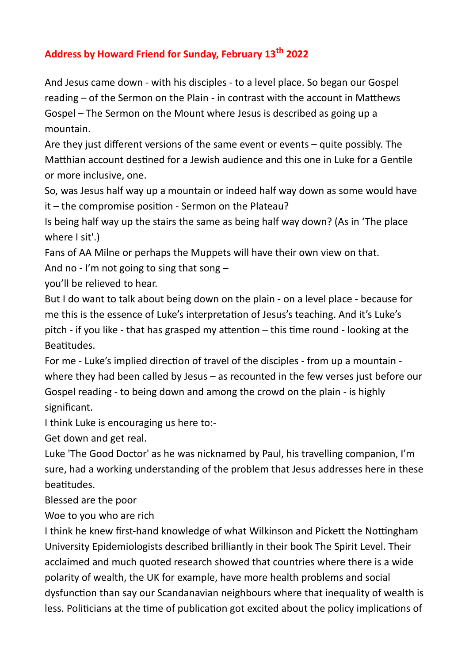## **Address by Howard Friend for Sunday, February 13th 2022**

And Jesus came down - with his disciples - to a level place. So began our Gospel reading – of the Sermon on the Plain - in contrast with the account in Matthews Gospel – The Sermon on the Mount where Jesus is described as going up a mountain.

Are they just different versions of the same event or events – quite possibly. The Matthian account destined for a Jewish audience and this one in Luke for a Gentile or more inclusive, one.

So, was Jesus half way up a mountain or indeed half way down as some would have it – the compromise position - Sermon on the Plateau?

Is being half way up the stairs the same as being half way down? (As in 'The place where I sit'.)

Fans of AA Milne or perhaps the Muppets will have their own view on that.

And no - I'm not going to sing that song  $-$ 

you'll be relieved to hear.

But I do want to talk about being down on the plain - on a level place - because for me this is the essence of Luke's interpretation of Jesus's teaching. And it's Luke's pitch - if you like - that has grasped my attention – this time round - looking at the Beatitudes.

For me - Luke's implied direction of travel of the disciples - from up a mountain where they had been called by Jesus – as recounted in the few verses just before our Gospel reading - to being down and among the crowd on the plain - is highly significant.

I think Luke is encouraging us here to:-

Get down and get real.

Luke 'The Good Doctor' as he was nicknamed by Paul, his travelling companion, I'm sure, had a working understanding of the problem that Jesus addresses here in these beatitudes.

Blessed are the poor

Woe to you who are rich

I think he knew first-hand knowledge of what Wilkinson and Pickett the Nottingham University Epidemiologists described brilliantly in their book The Spirit Level. Their acclaimed and much quoted research showed that countries where there is a wide polarity of wealth, the UK for example, have more health problems and social dysfunction than say our Scandanavian neighbours where that inequality of wealth is less. Politicians at the time of publication got excited about the policy implications of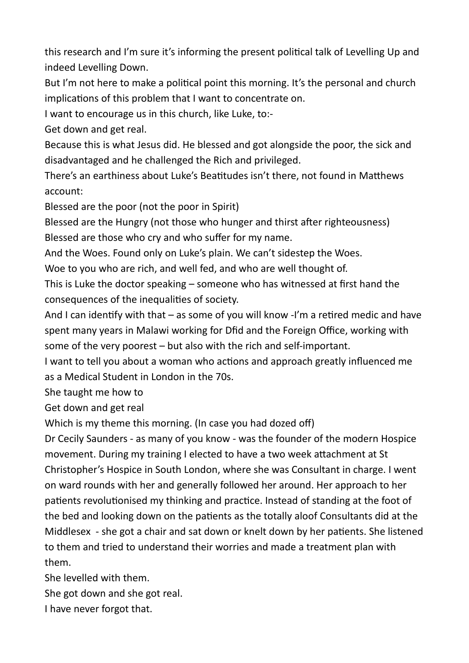this research and I'm sure it's informing the present political talk of Levelling Up and indeed Levelling Down.

But I'm not here to make a political point this morning. It's the personal and church implications of this problem that I want to concentrate on.

I want to encourage us in this church, like Luke, to:-

Get down and get real.

Because this is what Jesus did. He blessed and got alongside the poor, the sick and disadvantaged and he challenged the Rich and privileged.

There's an earthiness about Luke's Beatitudes isn't there, not found in Matthews account:

Blessed are the poor (not the poor in Spirit)

Blessed are the Hungry (not those who hunger and thirst after righteousness) Blessed are those who cry and who suffer for my name.

And the Woes. Found only on Luke's plain. We can't sidestep the Woes.

Woe to you who are rich, and well fed, and who are well thought of.

This is Luke the doctor speaking – someone who has witnessed at first hand the consequences of the inequalities of society.

And I can identify with that – as some of you will know -I'm a retired medic and have spent many years in Malawi working for Dfid and the Foreign Office, working with some of the very poorest – but also with the rich and self-important.

I want to tell you about a woman who actions and approach greatly influenced me as a Medical Student in London in the 70s.

She taught me how to

Get down and get real

Which is my theme this morning. (In case you had dozed off)

Dr Cecily Saunders - as many of you know - was the founder of the modern Hospice movement. During my training I elected to have a two week attachment at St Christopher's Hospice in South London, where she was Consultant in charge. I went on ward rounds with her and generally followed her around. Her approach to her patients revolutionised my thinking and practice. Instead of standing at the foot of the bed and looking down on the patients as the totally aloof Consultants did at the Middlesex - she got a chair and sat down or knelt down by her patients. She listened to them and tried to understand their worries and made a treatment plan with them.

She levelled with them.

She got down and she got real.

I have never forgot that.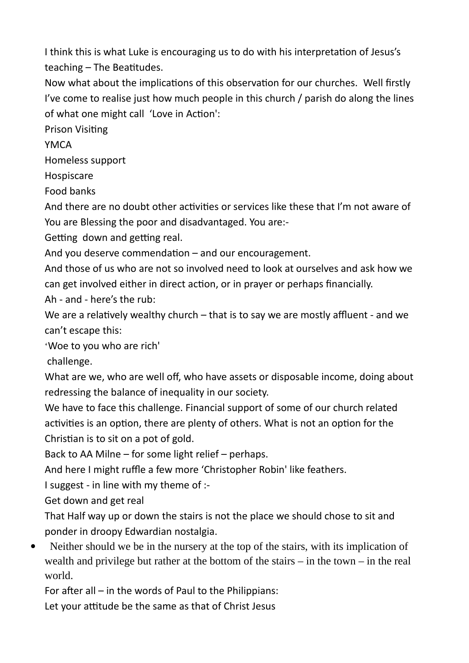I think this is what Luke is encouraging us to do with his interpretation of Jesus's teaching – The Beatitudes.

Now what about the implications of this observation for our churches. Well firstly I've come to realise just how much people in this church / parish do along the lines of what one might call 'Love in Action':

Prison Visiting

**YMCA** 

Homeless support

Hospiscare

Food banks

And there are no doubt other activities or services like these that I'm not aware of You are Blessing the poor and disadvantaged. You are:-

Getting down and getting real.

And you deserve commendation – and our encouragement.

And those of us who are not so involved need to look at ourselves and ask how we can get involved either in direct action, or in prayer or perhaps financially.

Ah - and - here's the rub:

We are a relatively wealthy church – that is to say we are mostly affluent - and we can't escape this:

'Woe to you who are rich'

challenge.

What are we, who are well off, who have assets or disposable income, doing about redressing the balance of inequality in our society.

We have to face this challenge. Financial support of some of our church related activities is an option, there are plenty of others. What is not an option for the Christian is to sit on a pot of gold.

Back to AA Milne – for some light relief – perhaps.

And here I might ruffle a few more 'Christopher Robin' like feathers.

I suggest - in line with my theme of :-

Get down and get real

That Half way up or down the stairs is not the place we should chose to sit and ponder in droopy Edwardian nostalgia.

• Neither should we be in the nursery at the top of the stairs, with its implication of wealth and privilege but rather at the bottom of the stairs – in the town – in the real world.

For after all – in the words of Paul to the Philippians:

Let your attitude be the same as that of Christ Jesus